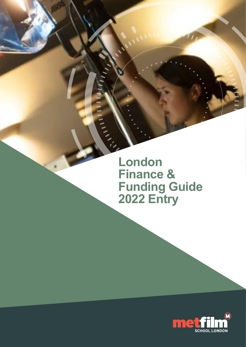**London Finance & Funding Guide 2022 Entry**

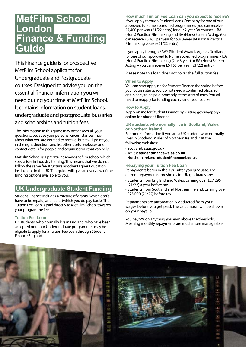# **MetFilm School London Finance & Funding Guide**

This Finance guide is for prospective MetFilm School applicants for Undergraduate and Postgraduate courses. Designed to advise you on the essential financial information you will need during your time at MetFilm School. It contains information on student loans, undergraduate and postgraduate bursaries and scholarships and tuition fees.

The information in this guide may not answer all your questions, because your personal circumstances may affect what you are entitled to receive, but it will point you in the right direction, and list other useful websites and contact details for people and organisations that can help.

MetFilm School is a private independent film school which specialises in industry training. This means that we do not follow the same fee structure as other Higher Education institutions in the UK. This guide will give an overview of the funding options available to you.

# **UK Undergraduate Student Funding**

Student Finance includes a mixture of grants (which don't have to be repaid) and loans (which you do pay back). The Tuition Fee Loan is paid directly to MetFilm School towards your programme fee.

#### **Tuition Fee Loan**

UK students, who normally live in England, who have been accepted onto our Undergraduate programmes may be eligible to apply for a Tuition Fee Loan through Student Finance England.

**How much Tuition Fee Loan can you expect to receive?**  If you apply through [Student Loans Company](https://www.gov.uk/government/organisations/student-loans-company) for one of our approved full-time accredited programmes, you can receive £7,400 per year (21/22 entry) for our 2-year BA courses – BA (Hons) Practical Filmmaking and BA (Hons) Screen Acting. You can receive £6,165 per year for our 3-year BA (Hons) Practical Filmmaking course (21/22 entry).

If you apply through SAAS ([Student Awards Agency Scotland\)](https://www.saas.gov.uk) for one of our approved full-time accredited programmes – BA (Hons) Practical Filmmaking (2 or 3-year) or BA (Hons) Screen Acting – you can receive £6,165 per year (21/22) entry).

Please note this loan does not cover the full tuition fee.

#### **When to Apply**

You can start applying for Student Finance the spring before your course starts. You do not need a confirmed place, so get in early to be paid promptly at the start of term. You will need to reapply for funding each year of your course.

#### **How to Apply**

Apply online for Student Finance by visiting **[gov.uk/apply](http://gov.uk/apply-online-for-student-finance)[online-for-student-finance](http://gov.uk/apply-online-for-student-finance)** 

#### **UK students who normally live in Scotland, Wales or Northern Ireland**

For more information if you are a UK student who normally lives in Scotland, Wales of Northern Ireland visit the following websites:

- Scotland: **[saas.gov.uk](http://saas.gov.uk)**
- Wales: **[studentfinancewales.co.uk](http://studentfinancewales.co.uk)**
- Northern Ireland: **[studentfinanceni.co.uk](http://studentfinanceni.co.uk)**

#### **Repaying your Tuition Fee Loan**

Repayments begin in the April after you graduate. The current repayments thresholds for UK graduates are:

- Students from England and Wales: Earning over £27,295 (21/22) a year before tax
- Students from Scotland and Northern Ireland: Earning over £25,000 (21/22) before tax

Repayments are automatically deducted from your wages before you get paid. The calculation will be shown on your payslip.

You pay 9% on anything you earn above the threshold. Meaning monthly repayments are much more manageable.

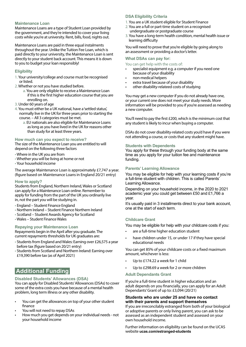#### **Maintenance Loan**

Maintenance Loans are a type of Student Loan provided by the government, and they're intended to cover your living costs while you're at university. Rent, bills, food, nights out.

Maintenance Loans are paid in three equal instalments throughout the year. Unlike the Tuition Fee Loan, which is paid directly to your university, the Maintenance Loan is sent directly to your student back account. This means it is down to you to budget your loan responsibly!

#### **Eligibility**

- 1.Your university/college and course must be recognised or listed.
- 2.Whether or not you have studied before.
	- a.You are only eligible to receive a Maintenance Loan if this is the first higher education course that you are enrolling on.
- 3. Under 60 years of age
- 4.You must either be a UK national, have a 'settled status', normally live in the UK for three years prior to starting the course. – All 3 categories must be met.
	- a. EU nationals are also eligible for Maintenance Loans as long as you have lived in the UK for reasons other than study for at least three years.

#### **How much can you expect to receive?**

The size of the Maintenance Loan you are entitled to will depend on the following three factors

- Where in the UK you are from
- Whether you will be living at home or not
- Your household income

The average Maintenance Loan is approximately £7,747 a year. (figure based on Maintenance Loans in England 20/21 entry)

#### **How to apply?**

Students from England, Northern Ireland, Wales or Scotland can apply for a Maintenance Loan online. Remember to apply for funding from the part of the UK you ordinarily live in, not the part you will be studying in.

- England – [Student Finance England](https://www.gov.uk/apply-online-for-student-finance#other-ways-to-apply.)
- Northern Ireland – [Student Finance Northern Ireland](https://www.studentfinanceni.co.uk)
- Scotland – [Student Awards Agency for Scotland](https://www.saas.gov.uk)
- Wales – [Student Finance Wales](https://www.studentfinancewales.co.uk)

#### **Repaying your Maintenance Loan**

Repayments begin in the April after you graduate. The current repayments thresholds for UK graduates are:

- Students from England and Wales: Earning over £26,575 a year before tax (figure based on 20/21 entry)
- Students from Scotland and Northern Ireland: Earning over £19,390 before tax (as of April 2021)

# **Additional Funding**

#### **Disabled Students' Allowances (DSA)**

You can apply for Disabled Students' Allowances (DSAs) to cover some of the extra costs you have because of a mental health problem, long term illness or any other disability.

- You can get the allowances on top of your other student finance
- You will not need to repay DSAs
- How much you get depends on your individual needs not your household income

#### **DSA Eligibility Criteria**

- 1.You are a UK student eligible for Student Finance
- 2.You are a full or part-time student on a recognised
- undergraduate or postgraduate course 3.You have a long-term health condition, mental health issue or learning difficulty

You will need to prove that you're eligible by going along to an assessment or providing a doctor's letter.

#### **What DSAs can pay for:**

You can get help with the costs of:

- specialist equipment e.g. a computer if you need one because of your disability
- non-medical helpers
- extra travel because of your disability
- other disability-relateed costs of studying

You may get a new computer if you do not already have one, or your current one does not meet your study needs. More information will be provided to you if you're assessed as needing a new computer.

You'll need to pay the first £200, which is the minimum cost that any student is likely to incur when buying a computer.

DSAs do not cover disability-related costs you'd have if you were not attending a course, or costs that any student might have.

#### **Students with Dependents**

You apply for these through your funding body at the same time as you apply for your tuition fee and maintenance funding.

#### **Parents' Learning Allowance**

You may be eligible for help with your learning costs if you're a full-time student with children. This is called Parents' Learning Allowance.

Depending on your household income, in the 2020 to 2021 academic year you could get between £50 and £1,766 a year.

It's usually paid in 3 installments direct to your bank account, one at the start of each term.

#### **Childcare Grant**

You may be eligible for help with your childcare costs if you:

- are a full-time higher education student
- have children under 15, or under 17 if they have special educational needs

You can get 85% of your childcare costs or a fixed maximum amount, whichever is less:

- Up to £174.22 a week for 1 child
- Up to £298.69 a week for 2 or more children

#### **Adult Dependants Grant**

If you're a full-time student in higher education and an adult depends on you financially, you can apply for an Adult Dependants' Grant of up to: £3,094 (20/21)

#### **Students who are under 25 and have no contact with their parents and support themselves**

If you are irreconcilably estranged from both of your biological or adoptive parents or only living parent, you can ask to be assessed as an independent student and assessed on your own household income.

Further information on eligibility can b[e](http://gov.uk/apply-online-for-student-finance ) found on the UCAS website **ucas.com/estranged-students**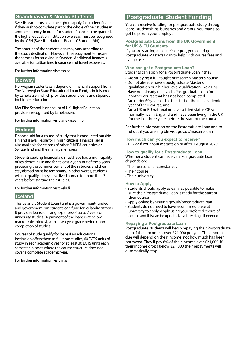### **Scandinavian & Nordic Students**

Swedish students have the right to apply for student finance if they wish to complete part or the whole of their studies in another country. In order for student finance to be granted, the higher education institution overseas must be recognised by the CSN (Swedish National Board of Student Aid).

The amount of the student loan may vary according to the study destination. However, the repayment terms are the same as for studying in Sweden. Additional finance is available for tuition fees, insurance and travel expenses.

For further information visit [csn.se](http://csn.se)

### **Norway**

Norwegian students can depend on financial support from The Norwegian State Educational Loan Fund, administered by Lanekassen, which provides student loans and stipends for higher education.

Met Film School is on the list of UK Higher Education providers recognised by Lanekassen.

For further information visit [lanekassen.no](http://lanekassen.no) 

### **Finland**

Financial aid for a course of study that is conducted outside Finland is avail¬able for Finnish citizens. Financial aid is also available for citizens of other EU/EEA countries or Switzerland and their family members.

Students seeking financial aid must have had a municipality of residence in Finland for at least 2 years out of the 5 years preceding the commencement of their studies and their stay abroad must be temporary. In other words, students will not qualify if they have lived abroad for more than 3 years before starting their studies.

For further information visit [kela.fi](http://kela.fi ) 

### **Iceland**

The Icelandic Student Loan Fund is a government-funded and government-run student loan fund for Icelandic citizens. It provides loans for living expenses of up to 7 years of university studies. Repayment of the loans is at belowmarket-rate interest, with a two-year grace period upon completion of studies.

Courses of study qualify for loans if an educational institution offers them as full-time studies; 60 ECTS units of study in each academic year or at least 30 ECTS units each semester in cases where the course structure does not cover a complete academic year.

For further information visit [lin.is](http://lin.is)

# **Postgraduate Student Funding**

You can receive funding for postgraduate study through loans, studentships, bursaries and grants- you may also get help from your employer.

#### **Postgraduate Loans from the UK Government for UK & EU Students**

If you are starting a master's degree, you could get a Postgraduate Master's Loan to help with course fees and living costs.

#### **Who can get a Postgraduate Loan?**

Students can apply for a Postgraduate Loan if they:

- Are studying a full taught or research Master's course • Do not already have a postgraduate Master's
- qualification or a higher level qualification like a PhD
- Have not already received a Postgraduate Loan for another course that has not been completed
- Are under 60 years old at the start of the first academic year of their course, and
- Are a UK or EU national or have settled status OR you normally live in England and have been living in the UK for the last three years before the start of the course

For further information on the Postgraduate Loan and to find out if you are eligible visit [gov.uk/masters-loan](http://gov.uk/masters-loan)

**How much can you expect to receive?**  £11,222 if your course starts on or after 1 August 2020.

**How to qualify for a Postgraduate Loan** Whether a student can receive a Postgraduate Loan depends on:

- Their personal circumstances
- Their course
- Their university

#### **How to Apply**

- Students should apply as early as possible to make sure their Postgraduate Loan is ready for the start of their course
- Apply online by visiting [gov.uk/postgraduateloan](http://gov.uk/postgraduateloan)
- Students do not need to have a confirmed place at university to apply. Apply using your preferred choice of course and this can be updated at a later stage if needed.

#### **Repaying a Postgraduate Loan**

Postgraduate students will begin repaying their Postgraduate Loan if their income is over £21,000 per year. The amount due will depend on their income, not how much has been borrowed. They'll pay 6% of their income over £21,000. If their income drops below £21,000 their repayments will automatically stop.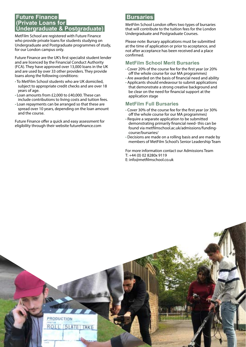# **Future Finance (Private Loans for Undergraduate & Postgraduate)**

MetFilm School are registered with Future Finance who provide private loans for students studying on Undergraduate and Postgraduate programmes of study, for our London campus only.

Future Finance are the UK's first specialist student lender and are licenced by the Financial Conduct Authority (FCA). They have approved over 13,000 loans in the UK and are used by over 33 other providers. They provide loans along the following conditions:

- To MetFilm School students who are UK domiciled, subject to appropriate credit checks and are over 18 years of age.
- Loan amounts from £2,000 to £40,000. These can include contributions to living costs and tuition fees.
- Loan repayments can be arranged so that these are spread over 10 years, depending on the loan amount and the course.

Future Finance offer a quick and easy assessment for eligibility through their website [futurefinance.com](http://futurefinance.com)

# **Bursaries**

MetFilm School London offers two types of bursaries that will contribute to the tuition fees for the London Undergraduate and Postgraduate Courses.

Please note: Bursary applications must be submitted at the time of application or prior to acceptance, and not after acceptance has been received and a place confirmed.

# **MetFilm School Merit Bursaries**

- Cover 20% of the course fee for the first year (or 20% off the whole course for our MA programmes)
- Are awarded on the basis of financial need and ability
- Applicants should endeavour to submit applications that demonstrate a strong creative background and be clear on the need for financial support at the application stage

### **MetFilm Full Bursaries**

- Cover 30% of the course fee for the first year (or 30% off the whole course for our MA programmes)
- Require a separate application to be submitted demonstrating primarily financial need- this can be found via metfilmschool.ac.uk/admissions/fundingcourse/bursaries/
- Decisions are made on a rolling basis and are made by members of MetFilm School's Senior Leadership Team

For more information contact our Admissions Team T: +44 (0) 02 8280x 9119 E: [info@metfilmschool.co.uk](mailto:info%40metfilmschool.co.uk?subject=)

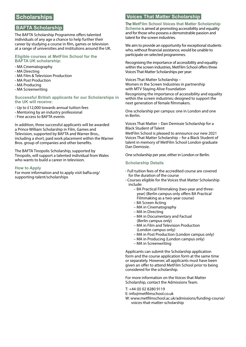# **Scholarships**

### **BAFTA Scholarship**

The BAFTA Scholarship Programme offers talented individuals of any age a chance to help further their career by studying a course in film, games or television at a range of universities and institutions around the UK.

#### **Eligible courses at MetFilm School for the BAFTA UK scholarship:**

- MA Cinematography
- MA Directing
- MA Film & Television Production
- MA Post Production
- MA Producing
- MA Screenwriting

**Successful British applicants for our Scholarships in the UK will receive:**

- Up to £12,000 towards annual tuition fees
- Mentoring by an industry professional
- Free access to BAFTA events

In addition, three successful applicants will be awarded a Prince William Scholarship in Film, Games and Television, supported by BAFTA and Warner Bros., including a short, paid work placement within the Warner Bros. group of companies and other benefits.

The BAFTA Tinopolis Scholarship, supported by Tinopolis, will support a talented individual from Wales who wants to build a career in television.

#### **How to Apply**

For more information and to apply visi[t bafta.org/](http:// bafta.org/supporting-talent/scholarships) [supporting-talent/scholarships](http:// bafta.org/supporting-talent/scholarships)

### **Voices That Matter Scholarship**

The **MetFilm School Voices that Matter Scholarship Scheme** is aimed at promoting accessibility and equality and for those who possess a demonstrable passion and talent for the screen industries.

We aim to provide an opportunity for exceptional students who, without financial assistance, would be unable to participate on selected programmes.

Recognising the importance of accessibility and equality within the screen industries, MetFilm School offers three Voices That Matter Scholarships per year:

[Voices That Matter Scholarship –](https://www.metfilmschool.de/admissions/funding-your-course/voices-that-matter-scholarship/women-screen-industries-2021/)  [Women in the Screen Industries in partnership](https://www.metfilmschool.de/admissions/funding-your-course/voices-that-matter-scholarship/women-screen-industries-2021/)  [with MTV Staying Alive Foundation](https://www.metfilmschool.de/admissions/funding-your-course/voices-that-matter-scholarship/women-screen-industries-2021/)

Recognising the importance of accessibility and equality within the screen industries; designed to support the next generation of female filmmakers.

One scholarship per campus: one in London and one in Berlin.

[Voices That Matter – Dan Demissie Scholarship for a](mailto:https://www.metfilmschool.de/admissions/funding-your-course/voices-that-matter-scholarship/dan-demissie-2021/?subject=)  [Black Student of Talent](mailto:https://www.metfilmschool.de/admissions/funding-your-course/voices-that-matter-scholarship/dan-demissie-2021/?subject=)

MetFilm School is pleased to announce our new 2021 Voices That Matter Scholarship – for a Black Student of talent in memory of MetFilm School London graduate Dan Demissie.

One scholarship per year, either in London or Berlin.

#### **Scholarship Details**

- Full tuition fees of the accredited course are covered for the duration of the course
- Courses eligible for the Voices that Matter Scholarship include:
	- BA Practical Filmmaking (two-year and threeyear) (Berlin campus only offers BA Practical Filmmaking as a two-year course)
	- BA Screen Acting
	- MA in Cinematography
	- MA in Directing
	- MA in Documentary and Factual (Berlin campus only)
	- MA in Film and Television Production (London campus only)
	- MA in Post Production (London campus only)
	- MA in Producing (London campus only)
	- MA in Screenwriting

Applicants can submit the Scholarship application form and the course application form at the same time or separately. However, all applicants must have been given an offer to attend MetFilm School prior to being considered for the scholarship.

For more information on the Voices that Matter Scholarship, contact the Admissions Team.

T: +44 (0) 02 8280 9119

E: [info@metfilmschool.co.uk](mailto:info%40metfilmschool.co.uk?subject=)

W: [www.metfilmschool.ac.uk/admissions/funding-course/](http://www.metfilmschool.ac.uk/admissions/funding-course/voices-that-matter-scholarship) [voices-that-matter-scholarship](http://www.metfilmschool.ac.uk/admissions/funding-course/voices-that-matter-scholarship)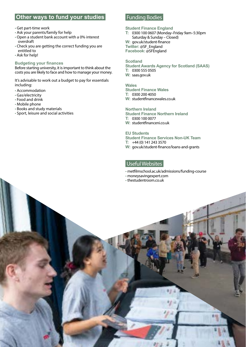# **Other ways to fund your studies**

#### • Get part-time work

- Ask your parents/family for help
- Open a student bank account with a 0% interest overdraft
- Check you are getting the correct funding you are entitled to
- Ask for help!

#### **Budgeting your finances**

Before starting university, it is important to think about the costs you are likely to face and how to manage your money.

It's advisable to work out a budget to pay for essentials including:

- Accommodation
- Gas/electricity
- Food and drink
- Mobile phone
- Books and study materials
- Sport, leisure and social activities

## Funding Bodies

#### **Student Finance England**

**T:** 0300 100 0607 (Monday–Friday 9am–5:30pm Saturday & Sunday – Closed) **W:** [gov.uk/student-finance](http://gov.uk/student-finance) **Twitter:** [@SF\\_England](https://twitter.com/SF_England) **Facebook:** [@SFEngland](https://www.facebook.com/SFEngland)

#### **Scotland**

**Student Awards Agency for Scotland (SAAS) T:** 0300 555 0505 **W:** [saas.gov.uk](http://saas.gov.uk)

#### **Wales**

**Student Finance Wales T:** 0300 200 4050 **W:** [studentfinancewales.co.uk](http://studentfinancewales.co.uk)

#### **Northern Ireland**

**Student Finance Northern Ireland T:** 0300 100 0077 **W:** [studentfinanceni.co.uk](http://studentfinanceni.co.uk)

#### **EU Students**

**Student Finance Services Non-UK Team T:** +44 (0) 141 243 3570 **W:** [gov.uk/student-finance/loans-and-grants](http://gov.uk/student-finance/loans-and-grants)

### Useful Websites

- [metfilmschool.ac.uk/admissions/funding-course](http://metfilmschool.ac.uk/admissions/funding-course)
- [moneysavingexpert.com](http://moneysavingexpert.com)
- [thestudentroom.co.uk](http://thestudentroom.co.uk)